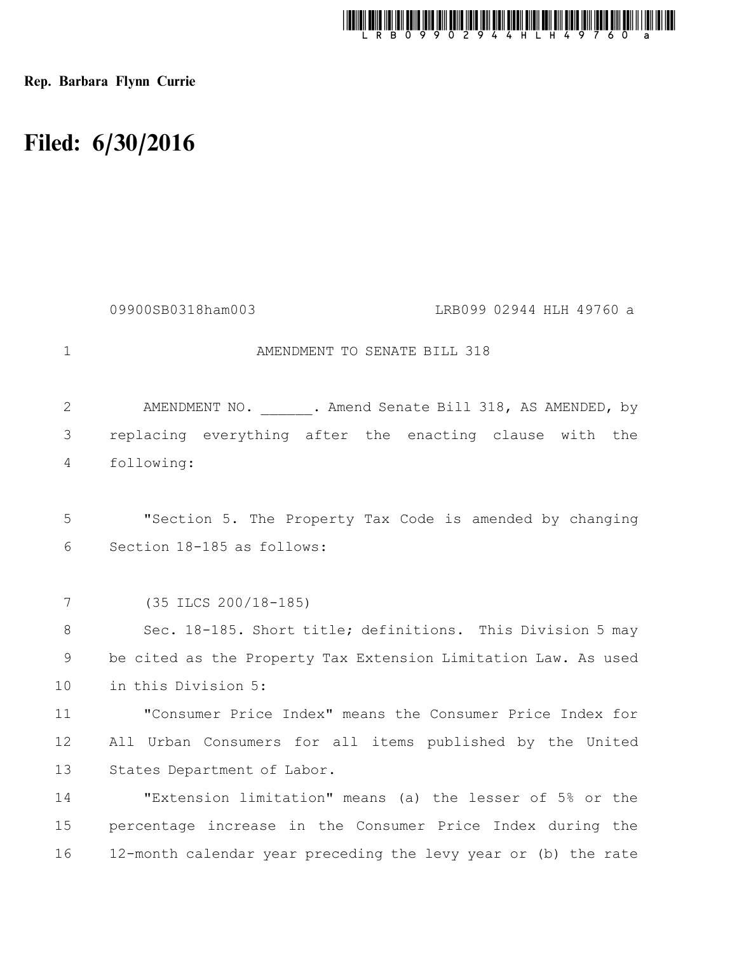

Rep. Barbara Flynn Currie

## Filed: 6/30/2016

|              | 09900SB0318ham003<br>LRB099 02944 HLH 49760 a                  |
|--------------|----------------------------------------------------------------|
| $\mathbf{1}$ | AMENDMENT TO SENATE BILL 318                                   |
| 2            | AMENDMENT NO. 318, AS AMENDED, by                              |
| 3            | replacing everything after the enacting clause with the        |
| 4            | following:                                                     |
|              |                                                                |
| 5            | "Section 5. The Property Tax Code is amended by changing       |
| 6            | Section 18-185 as follows:                                     |
|              |                                                                |
| 7            | $(35$ ILCS $200/18-185)$                                       |
| 8            | Sec. 18-185. Short title; definitions. This Division 5 may     |
| 9            | be cited as the Property Tax Extension Limitation Law. As used |
| 10           | in this Division 5:                                            |
| 11           | "Consumer Price Index" means the Consumer Price Index for      |
| 12           | All Urban Consumers for all items published by the United      |
| 13           | States Department of Labor.                                    |
| 14           | "Extension limitation" means (a) the lesser of 5% or the       |
| 15           | percentage increase in the Consumer Price Index during the     |
| 16           | 12-month calendar year preceding the levy year or (b) the rate |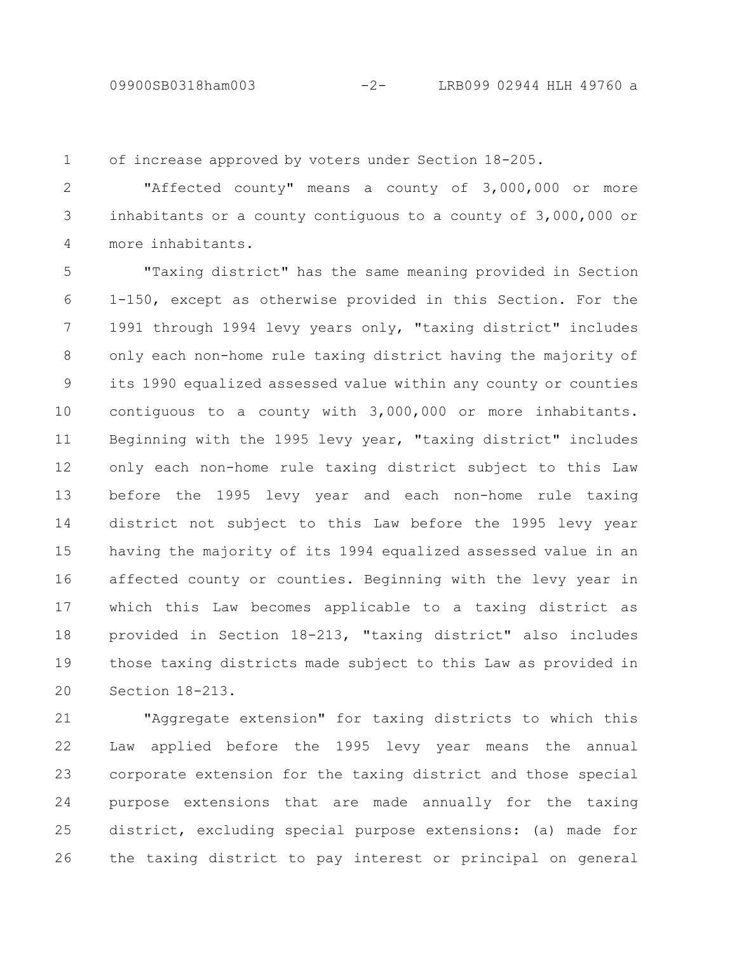of increase approved by voters under Section 18-205. 1

"Affected county" means a county of 3,000,000 or more inhabitants or a county contiguous to a county of 3,000,000 or more inhabitants. 2 3 4

"Taxing district" has the same meaning provided in Section 1-150, except as otherwise provided in this Section. For the 1991 through 1994 levy years only, "taxing district" includes only each non-home rule taxing district having the majority of its 1990 equalized assessed value within any county or counties contiguous to a county with 3,000,000 or more inhabitants. Beginning with the 1995 levy year, "taxing district" includes only each non-home rule taxing district subject to this Law before the 1995 levy year and each non-home rule taxing district not subject to this Law before the 1995 levy year having the majority of its 1994 equalized assessed value in an affected county or counties. Beginning with the levy year in which this Law becomes applicable to a taxing district as provided in Section 18-213, "taxing district" also includes those taxing districts made subject to this Law as provided in Section 18-213. 5 6 7 8 9 10 11 12 13 14 15 16 17 18 19 20

"Aggregate extension" for taxing districts to which this Law applied before the 1995 levy year means the annual corporate extension for the taxing district and those special purpose extensions that are made annually for the taxing district, excluding special purpose extensions: (a) made for the taxing district to pay interest or principal on general 21 22 23 24 25 26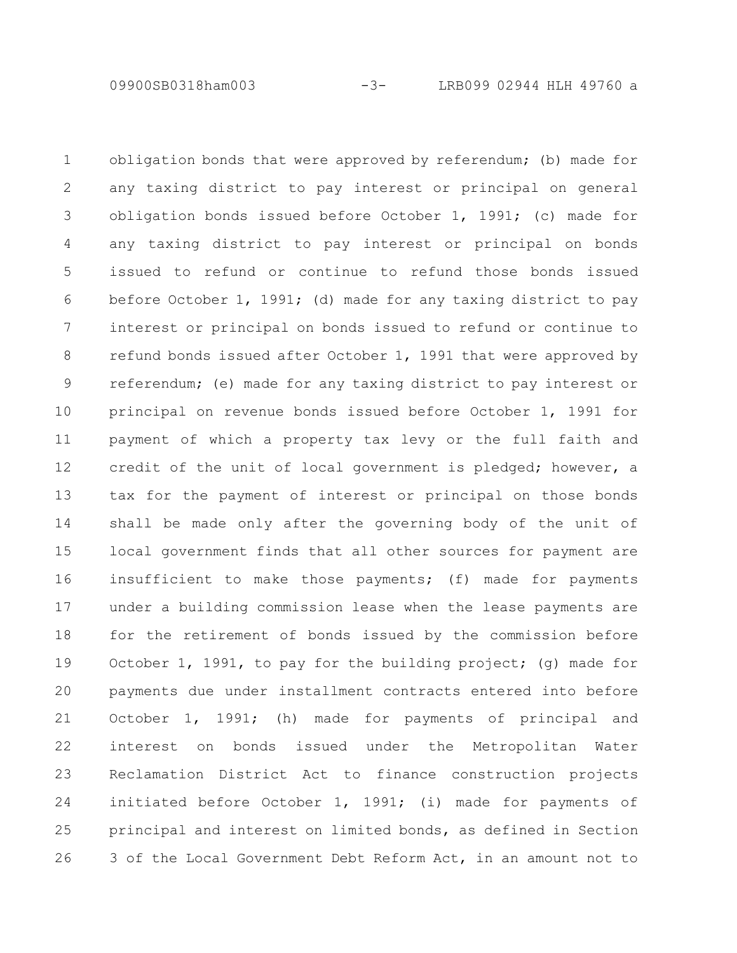09900SB0318ham003 -3- LRB099 02944 HLH 49760 a

obligation bonds that were approved by referendum; (b) made for any taxing district to pay interest or principal on general obligation bonds issued before October 1, 1991; (c) made for any taxing district to pay interest or principal on bonds issued to refund or continue to refund those bonds issued before October 1, 1991; (d) made for any taxing district to pay interest or principal on bonds issued to refund or continue to refund bonds issued after October 1, 1991 that were approved by referendum; (e) made for any taxing district to pay interest or principal on revenue bonds issued before October 1, 1991 for payment of which a property tax levy or the full faith and credit of the unit of local government is pledged; however, a tax for the payment of interest or principal on those bonds shall be made only after the governing body of the unit of local government finds that all other sources for payment are insufficient to make those payments; (f) made for payments under a building commission lease when the lease payments are for the retirement of bonds issued by the commission before October 1, 1991, to pay for the building project; (g) made for payments due under installment contracts entered into before October 1, 1991; (h) made for payments of principal and interest on bonds issued under the Metropolitan Water Reclamation District Act to finance construction projects initiated before October 1, 1991; (i) made for payments of principal and interest on limited bonds, as defined in Section 3 of the Local Government Debt Reform Act, in an amount not to 1 2 3 4 5 6 7 8 9 10 11 12 13 14 15 16 17 18 19 20 21 22 23 24 25 26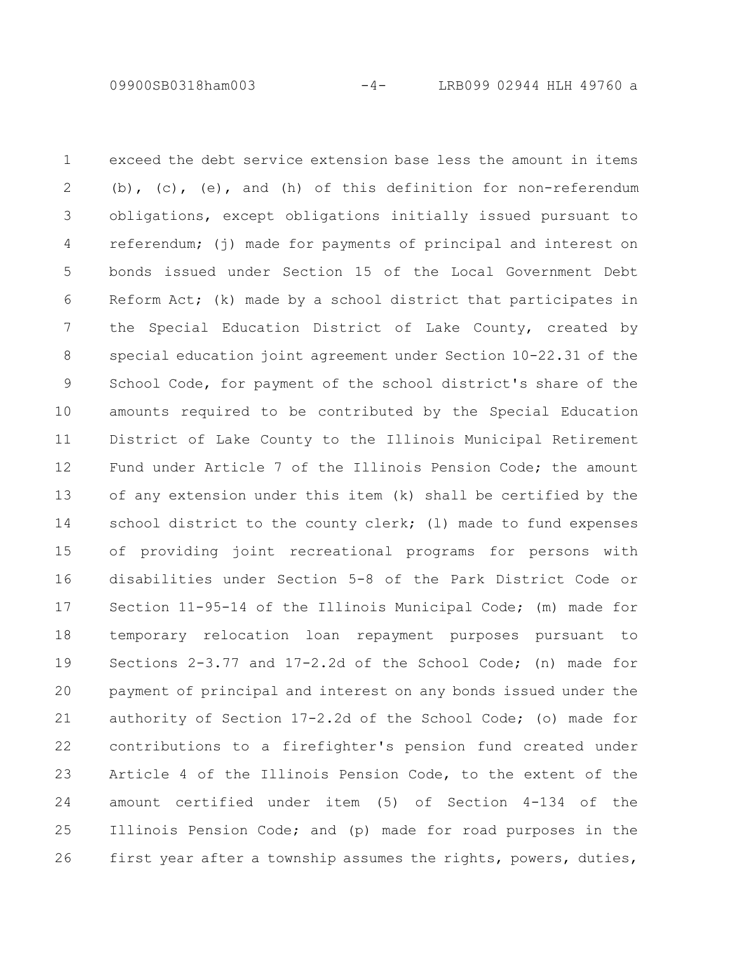09900SB0318ham003 -4- LRB099 02944 HLH 49760 a

exceed the debt service extension base less the amount in items (b), (c), (e), and (h) of this definition for non-referendum obligations, except obligations initially issued pursuant to referendum; (j) made for payments of principal and interest on bonds issued under Section 15 of the Local Government Debt Reform Act; (k) made by a school district that participates in the Special Education District of Lake County, created by special education joint agreement under Section 10-22.31 of the School Code, for payment of the school district's share of the amounts required to be contributed by the Special Education District of Lake County to the Illinois Municipal Retirement Fund under Article 7 of the Illinois Pension Code; the amount of any extension under this item (k) shall be certified by the school district to the county clerk; (1) made to fund expenses of providing joint recreational programs for persons with disabilities under Section 5-8 of the Park District Code or Section 11-95-14 of the Illinois Municipal Code; (m) made for temporary relocation loan repayment purposes pursuant to Sections 2-3.77 and 17-2.2d of the School Code; (n) made for payment of principal and interest on any bonds issued under the authority of Section 17-2.2d of the School Code; (o) made for contributions to a firefighter's pension fund created under Article 4 of the Illinois Pension Code, to the extent of the amount certified under item (5) of Section 4-134 of the Illinois Pension Code; and (p) made for road purposes in the first year after a township assumes the rights, powers, duties, 1 2 3 4 5 6 7 8 9 10 11 12 13 14 15 16 17 18 19 20 21 22 23 24 25 26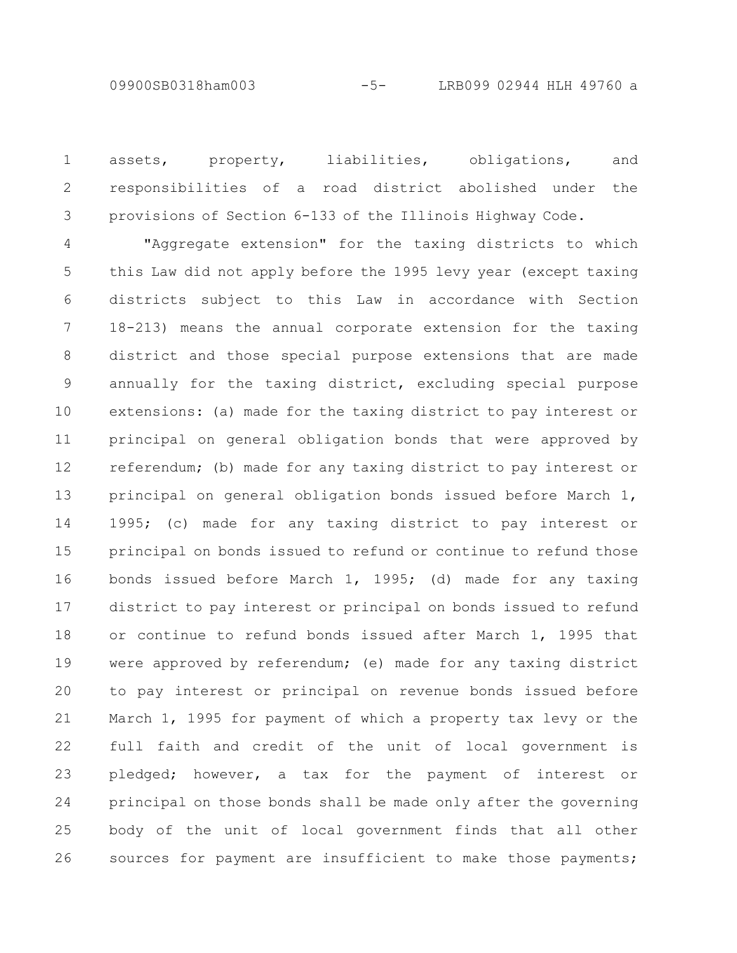assets, property, liabilities, obligations, and responsibilities of a road district abolished under the provisions of Section 6-133 of the Illinois Highway Code. 1 2 3

"Aggregate extension" for the taxing districts to which this Law did not apply before the 1995 levy year (except taxing districts subject to this Law in accordance with Section 18-213) means the annual corporate extension for the taxing district and those special purpose extensions that are made annually for the taxing district, excluding special purpose extensions: (a) made for the taxing district to pay interest or principal on general obligation bonds that were approved by referendum; (b) made for any taxing district to pay interest or principal on general obligation bonds issued before March 1, 1995; (c) made for any taxing district to pay interest or principal on bonds issued to refund or continue to refund those bonds issued before March 1, 1995; (d) made for any taxing district to pay interest or principal on bonds issued to refund or continue to refund bonds issued after March 1, 1995 that were approved by referendum; (e) made for any taxing district to pay interest or principal on revenue bonds issued before March 1, 1995 for payment of which a property tax levy or the full faith and credit of the unit of local government is pledged; however, a tax for the payment of interest or principal on those bonds shall be made only after the governing body of the unit of local government finds that all other sources for payment are insufficient to make those payments; 4 5 6 7 8 9 10 11 12 13 14 15 16 17 18 19 20 21 22 23 24 25 26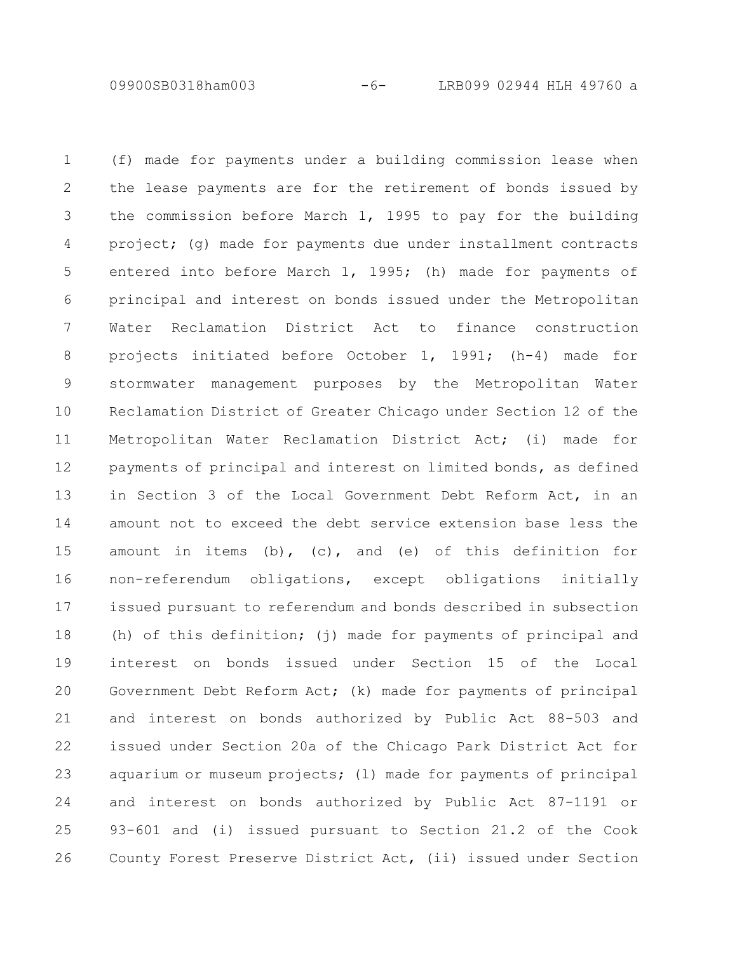09900SB0318ham003 -6- LRB099 02944 HLH 49760 a

(f) made for payments under a building commission lease when the lease payments are for the retirement of bonds issued by the commission before March 1, 1995 to pay for the building project; (g) made for payments due under installment contracts entered into before March 1, 1995; (h) made for payments of principal and interest on bonds issued under the Metropolitan Water Reclamation District Act to finance construction projects initiated before October 1, 1991; (h-4) made for stormwater management purposes by the Metropolitan Water Reclamation District of Greater Chicago under Section 12 of the Metropolitan Water Reclamation District Act; (i) made for payments of principal and interest on limited bonds, as defined in Section 3 of the Local Government Debt Reform Act, in an amount not to exceed the debt service extension base less the amount in items (b), (c), and (e) of this definition for non-referendum obligations, except obligations initially issued pursuant to referendum and bonds described in subsection (h) of this definition; (j) made for payments of principal and interest on bonds issued under Section 15 of the Local Government Debt Reform Act; (k) made for payments of principal and interest on bonds authorized by Public Act 88-503 and issued under Section 20a of the Chicago Park District Act for aquarium or museum projects; (l) made for payments of principal and interest on bonds authorized by Public Act 87-1191 or 93-601 and (i) issued pursuant to Section 21.2 of the Cook County Forest Preserve District Act, (ii) issued under Section 1 2 3 4 5 6 7 8 9 10 11 12 13 14 15 16 17 18 19 20 21 22 23 24 25 26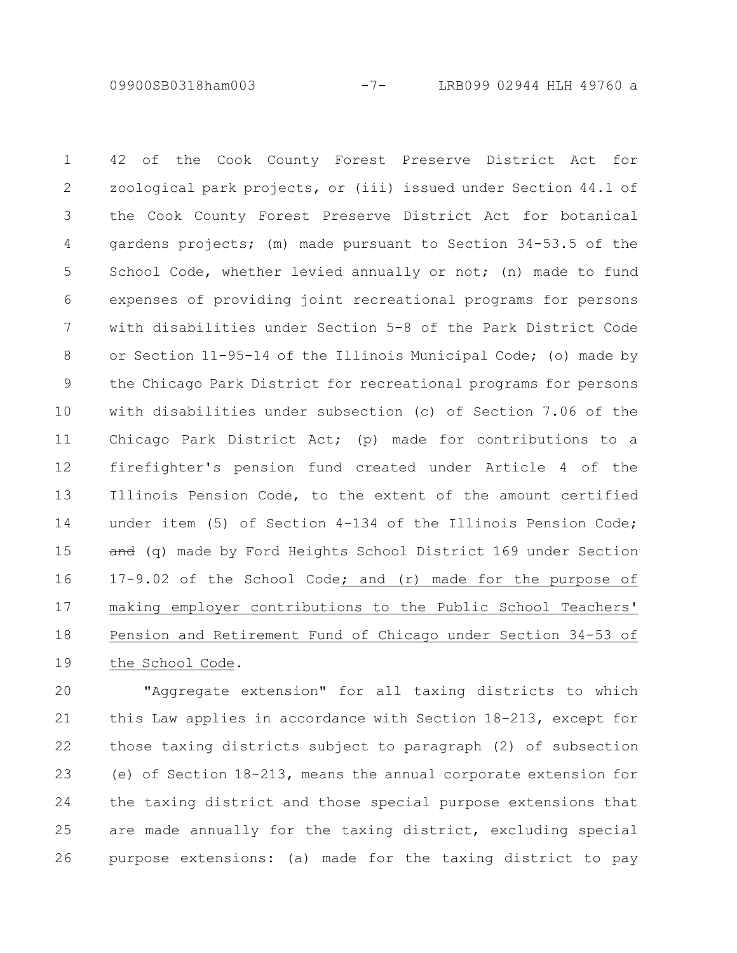09900SB0318ham003 -7- LRB099 02944 HLH 49760 a

42 of the Cook County Forest Preserve District Act for zoological park projects, or (iii) issued under Section 44.1 of the Cook County Forest Preserve District Act for botanical gardens projects; (m) made pursuant to Section 34-53.5 of the School Code, whether levied annually or not; (n) made to fund expenses of providing joint recreational programs for persons with disabilities under Section 5-8 of the Park District Code or Section 11-95-14 of the Illinois Municipal Code; (o) made by the Chicago Park District for recreational programs for persons with disabilities under subsection (c) of Section 7.06 of the Chicago Park District Act; (p) made for contributions to a firefighter's pension fund created under Article 4 of the Illinois Pension Code, to the extent of the amount certified under item (5) of Section 4-134 of the Illinois Pension Code; and (q) made by Ford Heights School District 169 under Section 17-9.02 of the School Code; and (r) made for the purpose of making employer contributions to the Public School Teachers' Pension and Retirement Fund of Chicago under Section 34-53 of the School Code. 1 2 3 4 5 6 7 8 9 10 11 12 13 14 15 16 17 18 19

"Aggregate extension" for all taxing districts to which this Law applies in accordance with Section 18-213, except for those taxing districts subject to paragraph (2) of subsection (e) of Section 18-213, means the annual corporate extension for the taxing district and those special purpose extensions that are made annually for the taxing district, excluding special purpose extensions: (a) made for the taxing district to pay 20 21 22 23 24 25 26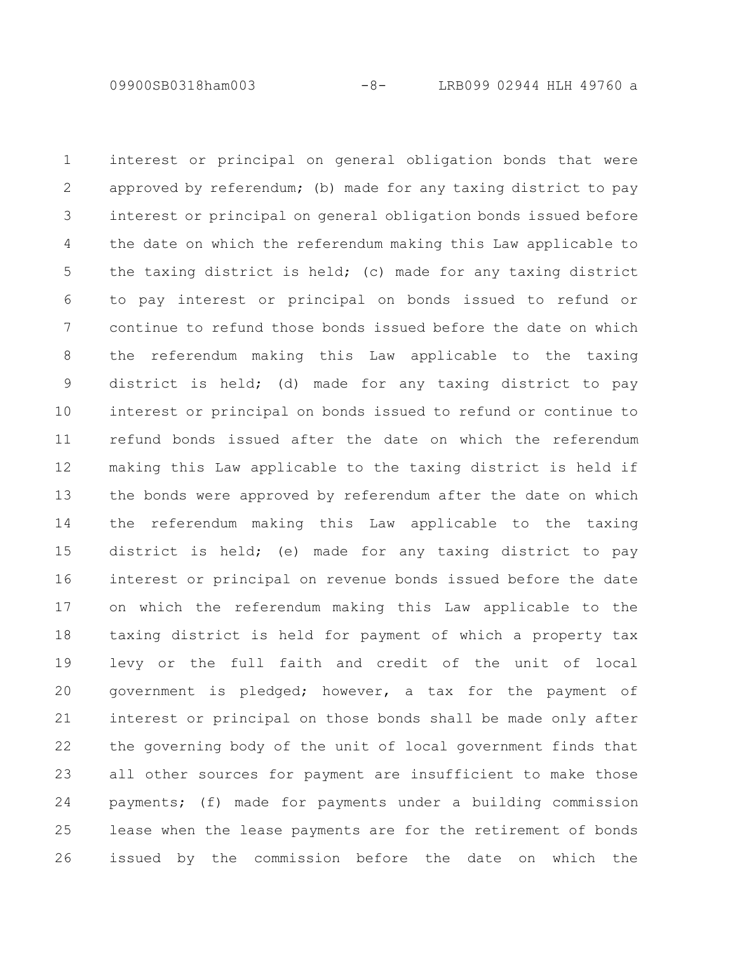interest or principal on general obligation bonds that were approved by referendum; (b) made for any taxing district to pay interest or principal on general obligation bonds issued before the date on which the referendum making this Law applicable to the taxing district is held; (c) made for any taxing district to pay interest or principal on bonds issued to refund or continue to refund those bonds issued before the date on which the referendum making this Law applicable to the taxing district is held; (d) made for any taxing district to pay interest or principal on bonds issued to refund or continue to refund bonds issued after the date on which the referendum making this Law applicable to the taxing district is held if the bonds were approved by referendum after the date on which the referendum making this Law applicable to the taxing district is held; (e) made for any taxing district to pay interest or principal on revenue bonds issued before the date on which the referendum making this Law applicable to the taxing district is held for payment of which a property tax levy or the full faith and credit of the unit of local government is pledged; however, a tax for the payment of interest or principal on those bonds shall be made only after the governing body of the unit of local government finds that all other sources for payment are insufficient to make those payments; (f) made for payments under a building commission lease when the lease payments are for the retirement of bonds issued by the commission before the date on which the 1 2 3 4 5 6 7 8 9 10 11 12 13 14 15 16 17 18 19 20 21 22 23 24 25 26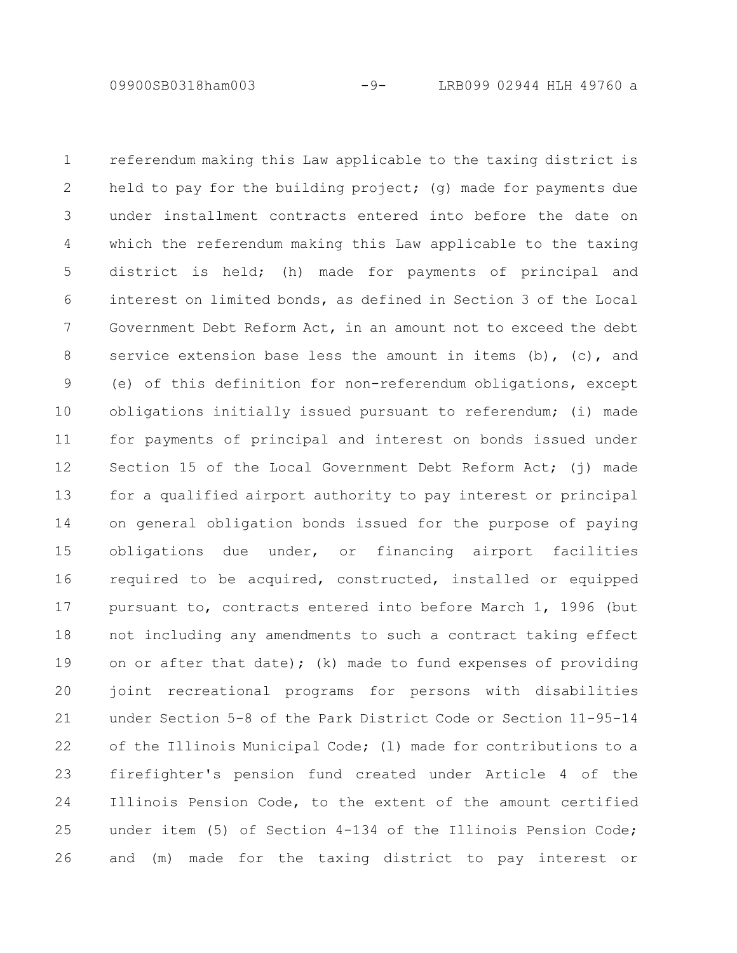09900SB0318ham003 -9- LRB099 02944 HLH 49760 a

referendum making this Law applicable to the taxing district is held to pay for the building project; (q) made for payments due under installment contracts entered into before the date on which the referendum making this Law applicable to the taxing district is held; (h) made for payments of principal and interest on limited bonds, as defined in Section 3 of the Local Government Debt Reform Act, in an amount not to exceed the debt service extension base less the amount in items  $(b)$ ,  $(c)$ , and (e) of this definition for non-referendum obligations, except obligations initially issued pursuant to referendum; (i) made for payments of principal and interest on bonds issued under Section 15 of the Local Government Debt Reform Act; (j) made for a qualified airport authority to pay interest or principal on general obligation bonds issued for the purpose of paying obligations due under, or financing airport facilities required to be acquired, constructed, installed or equipped pursuant to, contracts entered into before March 1, 1996 (but not including any amendments to such a contract taking effect on or after that date); (k) made to fund expenses of providing joint recreational programs for persons with disabilities under Section 5-8 of the Park District Code or Section 11-95-14 of the Illinois Municipal Code; (l) made for contributions to a firefighter's pension fund created under Article 4 of the Illinois Pension Code, to the extent of the amount certified under item (5) of Section 4-134 of the Illinois Pension Code; and (m) made for the taxing district to pay interest or 1 2 3 4 5 6 7 8 9 10 11 12 13 14 15 16 17 18 19 20 21 22 23 24 25 26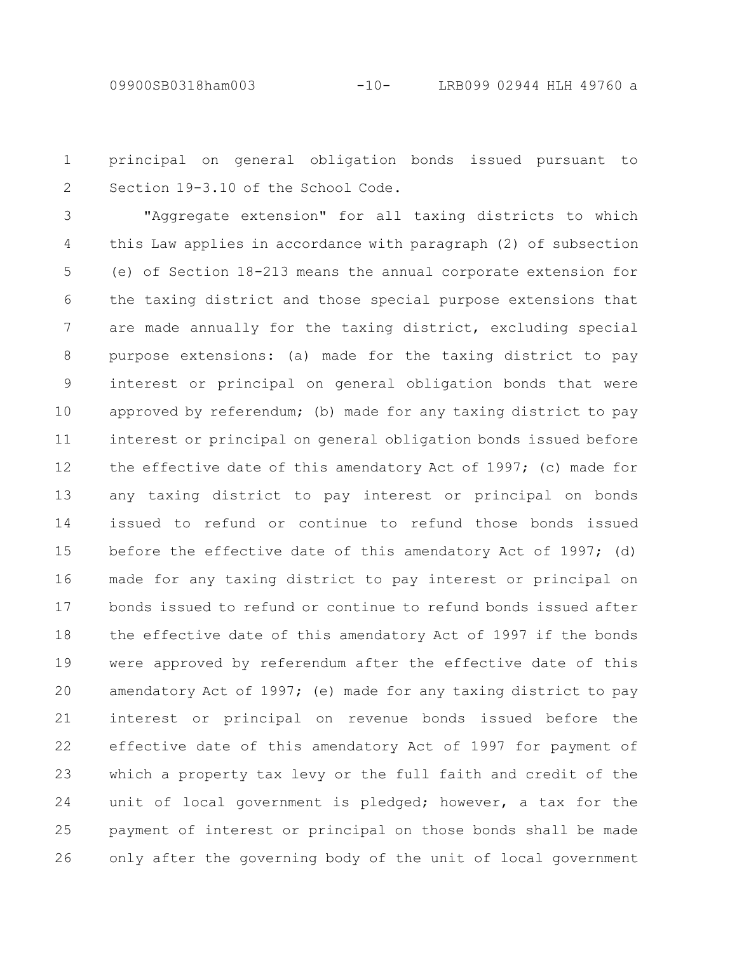principal on general obligation bonds issued pursuant to Section 19-3.10 of the School Code. 1 2

"Aggregate extension" for all taxing districts to which this Law applies in accordance with paragraph (2) of subsection (e) of Section 18-213 means the annual corporate extension for the taxing district and those special purpose extensions that are made annually for the taxing district, excluding special purpose extensions: (a) made for the taxing district to pay interest or principal on general obligation bonds that were approved by referendum; (b) made for any taxing district to pay interest or principal on general obligation bonds issued before the effective date of this amendatory Act of 1997; (c) made for any taxing district to pay interest or principal on bonds issued to refund or continue to refund those bonds issued before the effective date of this amendatory Act of 1997; (d) made for any taxing district to pay interest or principal on bonds issued to refund or continue to refund bonds issued after the effective date of this amendatory Act of 1997 if the bonds were approved by referendum after the effective date of this amendatory Act of 1997; (e) made for any taxing district to pay interest or principal on revenue bonds issued before the effective date of this amendatory Act of 1997 for payment of which a property tax levy or the full faith and credit of the unit of local government is pledged; however, a tax for the payment of interest or principal on those bonds shall be made only after the governing body of the unit of local government 3 4 5 6 7 8 9 10 11 12 13 14 15 16 17 18 19 20 21 22 23 24 25 26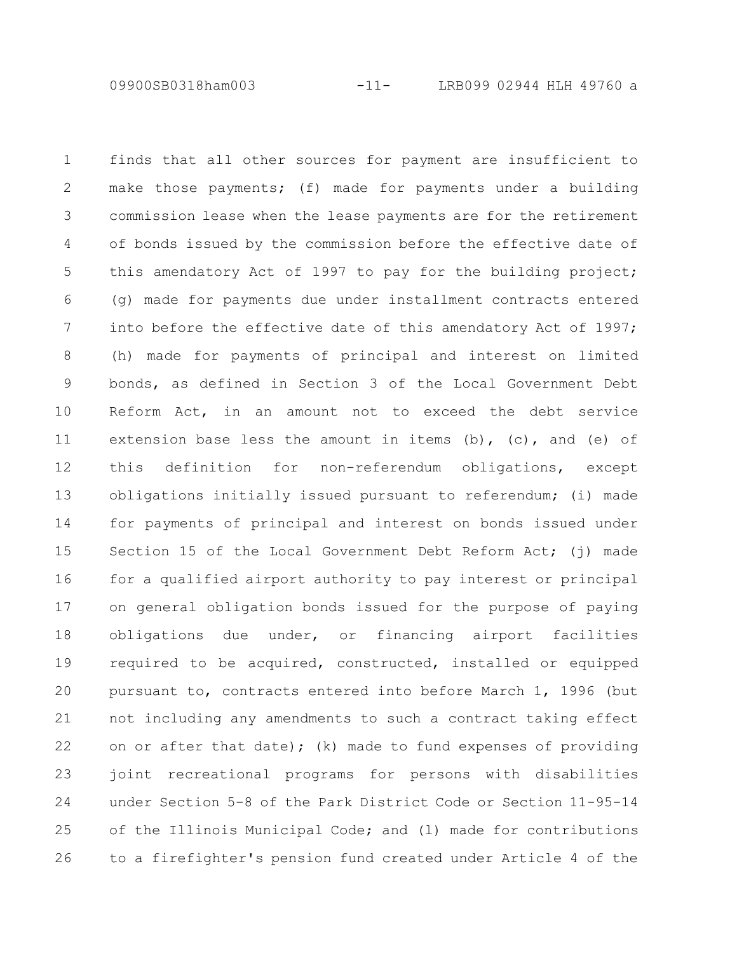09900SB0318ham003 -11- LRB099 02944 HLH 49760 a

finds that all other sources for payment are insufficient to make those payments; (f) made for payments under a building commission lease when the lease payments are for the retirement of bonds issued by the commission before the effective date of this amendatory Act of 1997 to pay for the building project; (g) made for payments due under installment contracts entered into before the effective date of this amendatory Act of 1997; (h) made for payments of principal and interest on limited bonds, as defined in Section 3 of the Local Government Debt Reform Act, in an amount not to exceed the debt service extension base less the amount in items  $(b)$ ,  $(c)$ , and  $(e)$  of this definition for non-referendum obligations, except obligations initially issued pursuant to referendum; (i) made for payments of principal and interest on bonds issued under Section 15 of the Local Government Debt Reform Act; (i) made for a qualified airport authority to pay interest or principal on general obligation bonds issued for the purpose of paying obligations due under, or financing airport facilities required to be acquired, constructed, installed or equipped pursuant to, contracts entered into before March 1, 1996 (but not including any amendments to such a contract taking effect on or after that date); (k) made to fund expenses of providing joint recreational programs for persons with disabilities under Section 5-8 of the Park District Code or Section 11-95-14 of the Illinois Municipal Code; and (l) made for contributions to a firefighter's pension fund created under Article 4 of the 1 2 3 4 5 6 7 8 9 10 11 12 13 14 15 16 17 18 19 20 21 22 23 24 25 26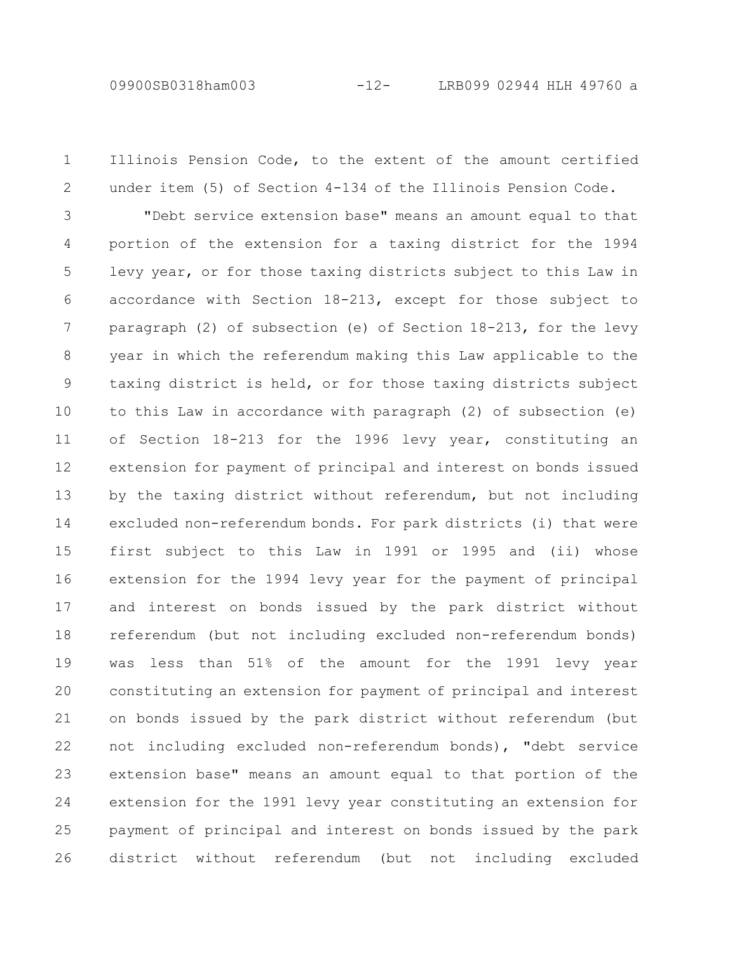09900SB0318ham003 -12- LRB099 02944 HLH 49760 a

Illinois Pension Code, to the extent of the amount certified under item (5) of Section 4-134 of the Illinois Pension Code. 1 2

"Debt service extension base" means an amount equal to that portion of the extension for a taxing district for the 1994 levy year, or for those taxing districts subject to this Law in accordance with Section 18-213, except for those subject to paragraph (2) of subsection (e) of Section 18-213, for the levy year in which the referendum making this Law applicable to the taxing district is held, or for those taxing districts subject to this Law in accordance with paragraph (2) of subsection (e) of Section 18-213 for the 1996 levy year, constituting an extension for payment of principal and interest on bonds issued by the taxing district without referendum, but not including excluded non-referendum bonds. For park districts (i) that were first subject to this Law in 1991 or 1995 and (ii) whose extension for the 1994 levy year for the payment of principal and interest on bonds issued by the park district without referendum (but not including excluded non-referendum bonds) was less than 51% of the amount for the 1991 levy year constituting an extension for payment of principal and interest on bonds issued by the park district without referendum (but not including excluded non-referendum bonds), "debt service extension base" means an amount equal to that portion of the extension for the 1991 levy year constituting an extension for payment of principal and interest on bonds issued by the park district without referendum (but not including excluded 3 4 5 6 7 8 9 10 11 12 13 14 15 16 17 18 19 20 21 22 23 24 25 26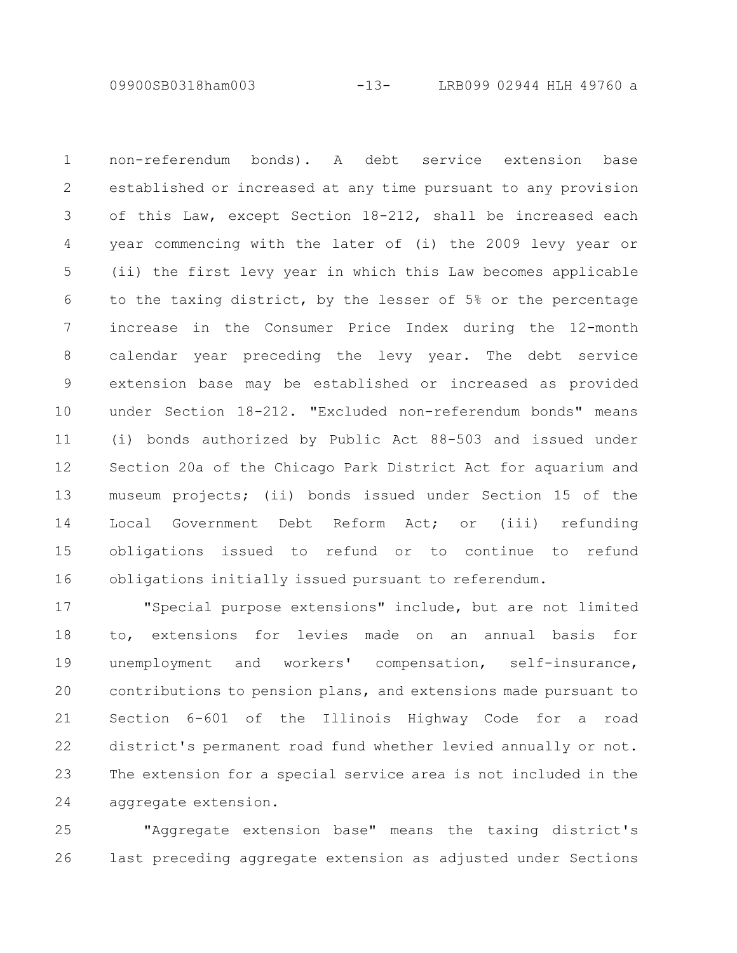09900SB0318ham003 -13- LRB099 02944 HLH 49760 a

non-referendum bonds). A debt service extension base established or increased at any time pursuant to any provision of this Law, except Section 18-212, shall be increased each year commencing with the later of (i) the 2009 levy year or (ii) the first levy year in which this Law becomes applicable to the taxing district, by the lesser of 5% or the percentage increase in the Consumer Price Index during the 12-month calendar year preceding the levy year. The debt service extension base may be established or increased as provided under Section 18-212. "Excluded non-referendum bonds" means (i) bonds authorized by Public Act 88-503 and issued under Section 20a of the Chicago Park District Act for aquarium and museum projects; (ii) bonds issued under Section 15 of the Local Government Debt Reform Act; or (iii) refunding obligations issued to refund or to continue to refund obligations initially issued pursuant to referendum. 1 2 3 4 5 6 7 8 9 10 11 12 13 14 15 16

"Special purpose extensions" include, but are not limited to, extensions for levies made on an annual basis for unemployment and workers' compensation, self-insurance, contributions to pension plans, and extensions made pursuant to Section 6-601 of the Illinois Highway Code for a road district's permanent road fund whether levied annually or not. The extension for a special service area is not included in the aggregate extension. 17 18 19 20 21 22 23 24

"Aggregate extension base" means the taxing district's last preceding aggregate extension as adjusted under Sections 25 26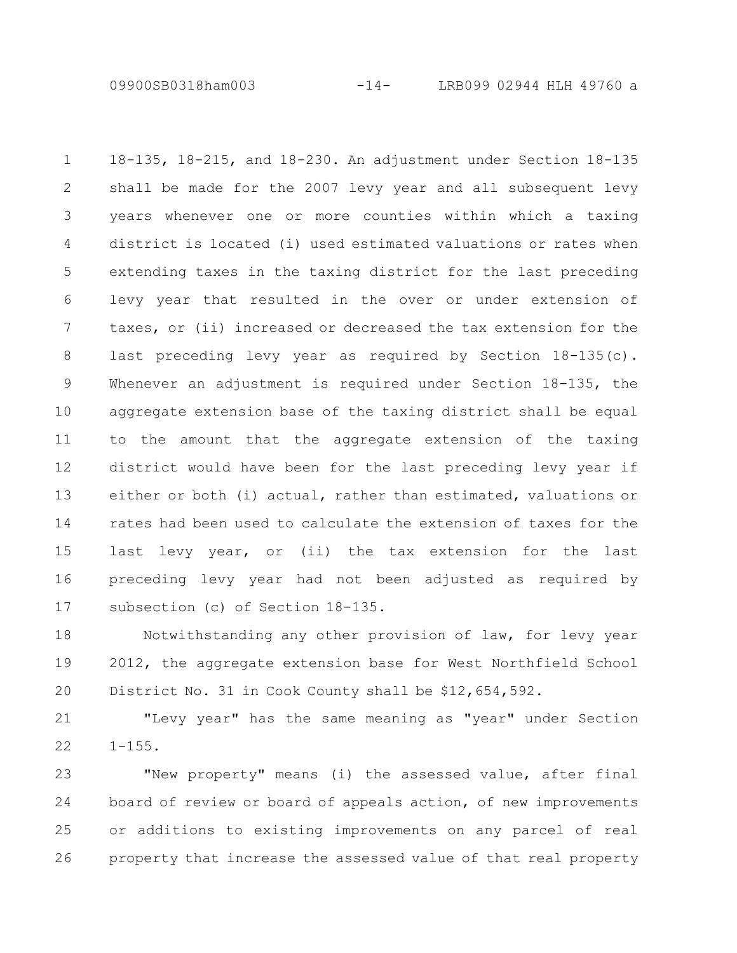09900SB0318ham003 -14- LRB099 02944 HLH 49760 a

18-135, 18-215, and 18-230. An adjustment under Section 18-135 shall be made for the 2007 levy year and all subsequent levy years whenever one or more counties within which a taxing district is located (i) used estimated valuations or rates when extending taxes in the taxing district for the last preceding levy year that resulted in the over or under extension of taxes, or (ii) increased or decreased the tax extension for the last preceding levy year as required by Section 18-135(c). Whenever an adjustment is required under Section 18-135, the aggregate extension base of the taxing district shall be equal to the amount that the aggregate extension of the taxing district would have been for the last preceding levy year if either or both (i) actual, rather than estimated, valuations or rates had been used to calculate the extension of taxes for the last levy year, or (ii) the tax extension for the last preceding levy year had not been adjusted as required by subsection (c) of Section 18-135. 1 2 3 4 5 6 7 8 9 10 11 12 13 14 15 16 17

Notwithstanding any other provision of law, for levy year 2012, the aggregate extension base for West Northfield School District No. 31 in Cook County shall be \$12,654,592. 18 19 20

"Levy year" has the same meaning as "year" under Section  $1 - 155$ . 21 22

"New property" means (i) the assessed value, after final board of review or board of appeals action, of new improvements or additions to existing improvements on any parcel of real property that increase the assessed value of that real property 23 24 25 26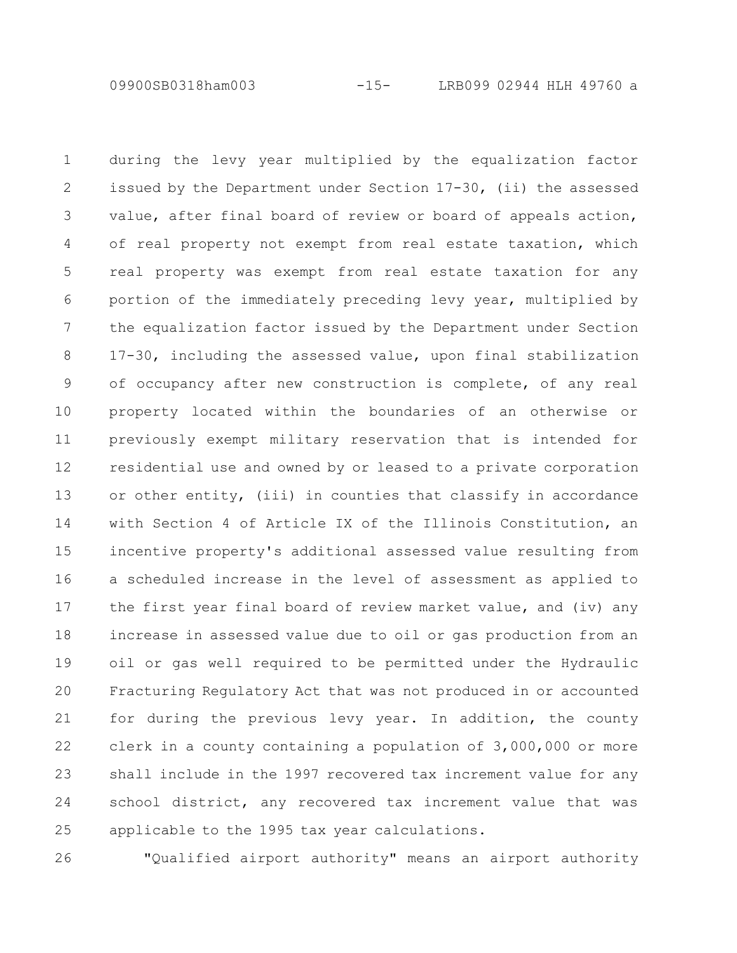09900SB0318ham003 -15- LRB099 02944 HLH 49760 a

during the levy year multiplied by the equalization factor issued by the Department under Section 17-30, (ii) the assessed value, after final board of review or board of appeals action, of real property not exempt from real estate taxation, which real property was exempt from real estate taxation for any portion of the immediately preceding levy year, multiplied by the equalization factor issued by the Department under Section 17-30, including the assessed value, upon final stabilization of occupancy after new construction is complete, of any real property located within the boundaries of an otherwise or previously exempt military reservation that is intended for residential use and owned by or leased to a private corporation or other entity, (iii) in counties that classify in accordance with Section 4 of Article IX of the Illinois Constitution, an incentive property's additional assessed value resulting from a scheduled increase in the level of assessment as applied to the first year final board of review market value, and (iv) any increase in assessed value due to oil or gas production from an oil or gas well required to be permitted under the Hydraulic Fracturing Regulatory Act that was not produced in or accounted for during the previous levy year. In addition, the county clerk in a county containing a population of 3,000,000 or more shall include in the 1997 recovered tax increment value for any school district, any recovered tax increment value that was applicable to the 1995 tax year calculations. 1 2 3 4 5 6 7 8 9 10 11 12 13 14 15 16 17 18 19 20 21 22 23 24 25

26

"Qualified airport authority" means an airport authority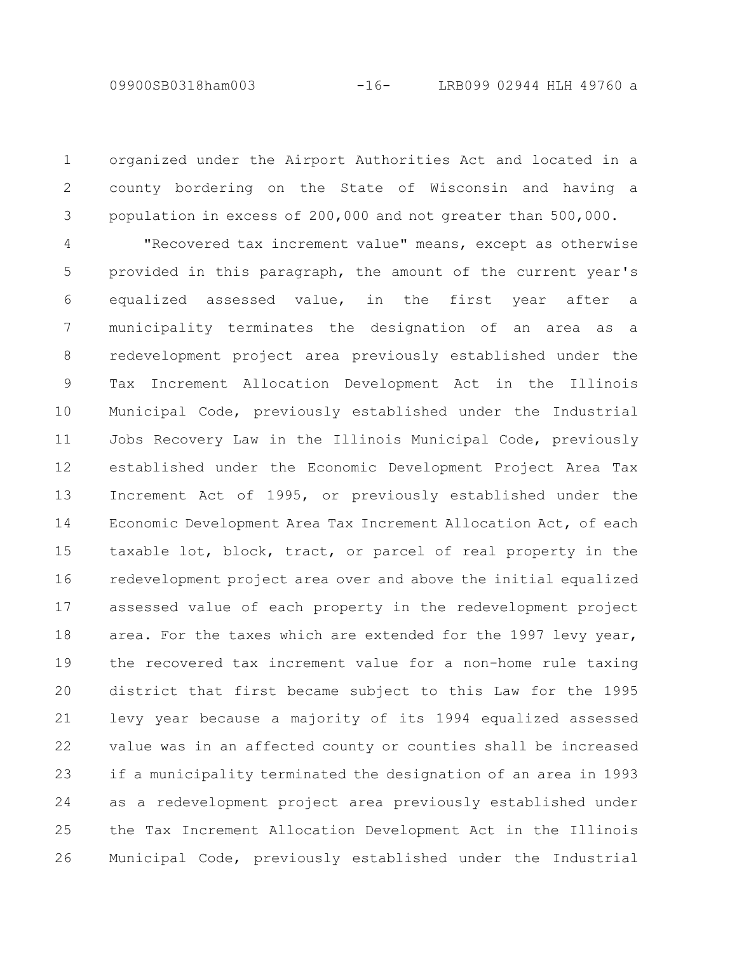organized under the Airport Authorities Act and located in a county bordering on the State of Wisconsin and having a population in excess of 200,000 and not greater than 500,000. 1 2 3

"Recovered tax increment value" means, except as otherwise provided in this paragraph, the amount of the current year's equalized assessed value, in the first year after a municipality terminates the designation of an area as a redevelopment project area previously established under the Tax Increment Allocation Development Act in the Illinois Municipal Code, previously established under the Industrial Jobs Recovery Law in the Illinois Municipal Code, previously established under the Economic Development Project Area Tax Increment Act of 1995, or previously established under the Economic Development Area Tax Increment Allocation Act, of each taxable lot, block, tract, or parcel of real property in the redevelopment project area over and above the initial equalized assessed value of each property in the redevelopment project area. For the taxes which are extended for the 1997 levy year, the recovered tax increment value for a non-home rule taxing district that first became subject to this Law for the 1995 levy year because a majority of its 1994 equalized assessed value was in an affected county or counties shall be increased if a municipality terminated the designation of an area in 1993 as a redevelopment project area previously established under the Tax Increment Allocation Development Act in the Illinois Municipal Code, previously established under the Industrial 4 5 6 7 8 9 10 11 12 13 14 15 16 17 18 19 20 21 22 23 24 25 26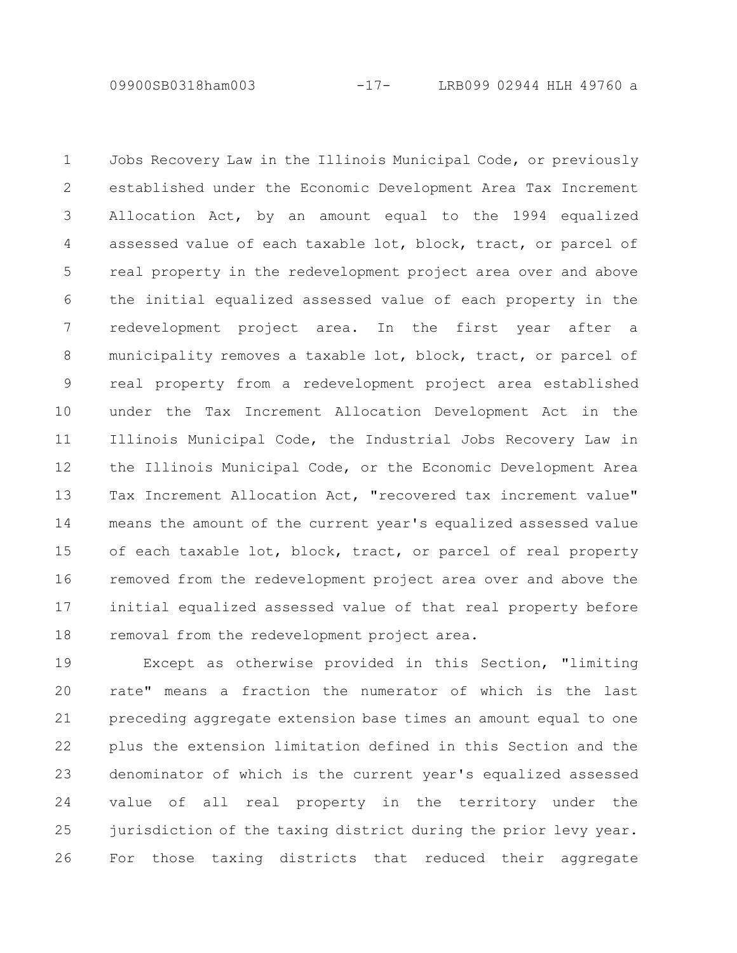09900SB0318ham003 -17- LRB099 02944 HLH 49760 a

Jobs Recovery Law in the Illinois Municipal Code, or previously established under the Economic Development Area Tax Increment Allocation Act, by an amount equal to the 1994 equalized assessed value of each taxable lot, block, tract, or parcel of real property in the redevelopment project area over and above the initial equalized assessed value of each property in the redevelopment project area. In the first year after a municipality removes a taxable lot, block, tract, or parcel of real property from a redevelopment project area established under the Tax Increment Allocation Development Act in the Illinois Municipal Code, the Industrial Jobs Recovery Law in the Illinois Municipal Code, or the Economic Development Area Tax Increment Allocation Act, "recovered tax increment value" means the amount of the current year's equalized assessed value of each taxable lot, block, tract, or parcel of real property removed from the redevelopment project area over and above the initial equalized assessed value of that real property before removal from the redevelopment project area. 1 2 3 4 5 6 7 8 9 10 11 12 13 14 15 16 17 18

Except as otherwise provided in this Section, "limiting rate" means a fraction the numerator of which is the last preceding aggregate extension base times an amount equal to one plus the extension limitation defined in this Section and the denominator of which is the current year's equalized assessed value of all real property in the territory under the jurisdiction of the taxing district during the prior levy year. For those taxing districts that reduced their aggregate 19 20 21 22 23 24 25 26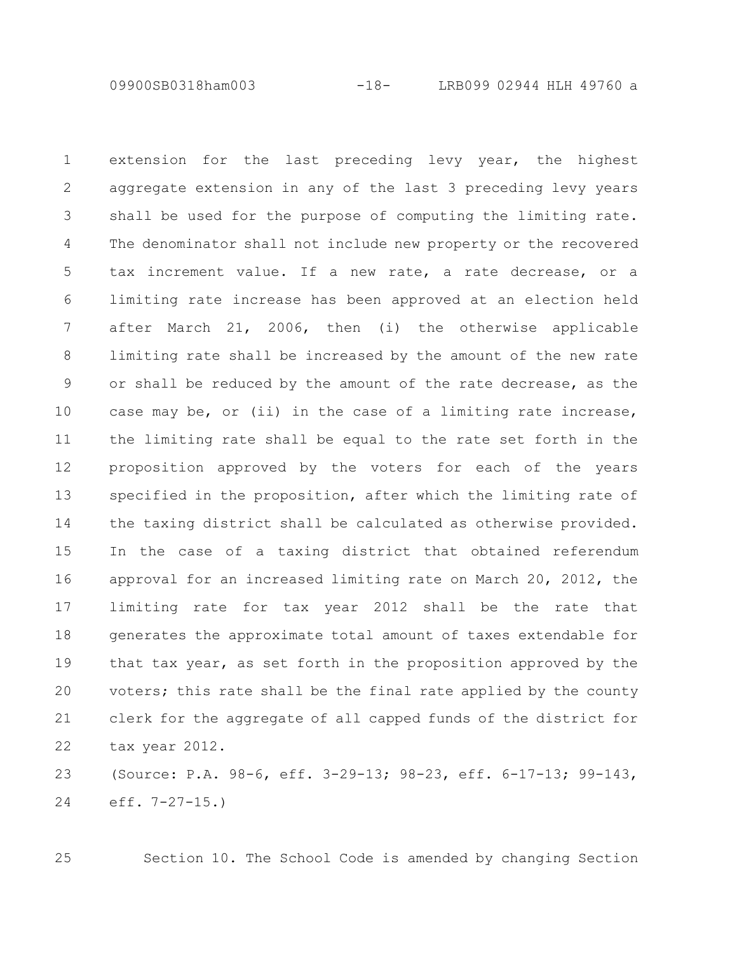09900SB0318ham003 -18- LRB099 02944 HLH 49760 a

extension for the last preceding levy year, the highest aggregate extension in any of the last 3 preceding levy years shall be used for the purpose of computing the limiting rate. The denominator shall not include new property or the recovered tax increment value. If a new rate, a rate decrease, or a limiting rate increase has been approved at an election held after March 21, 2006, then (i) the otherwise applicable limiting rate shall be increased by the amount of the new rate or shall be reduced by the amount of the rate decrease, as the case may be, or (ii) in the case of a limiting rate increase, the limiting rate shall be equal to the rate set forth in the proposition approved by the voters for each of the years specified in the proposition, after which the limiting rate of the taxing district shall be calculated as otherwise provided. In the case of a taxing district that obtained referendum approval for an increased limiting rate on March 20, 2012, the limiting rate for tax year 2012 shall be the rate that generates the approximate total amount of taxes extendable for that tax year, as set forth in the proposition approved by the voters; this rate shall be the final rate applied by the county clerk for the aggregate of all capped funds of the district for tax year 2012. 1 2 3 4 5 6 7 8 9 10 11 12 13 14 15 16 17 18 19 20 21 22

(Source: P.A. 98-6, eff. 3-29-13; 98-23, eff. 6-17-13; 99-143, eff. 7-27-15.) 23 24

25

Section 10. The School Code is amended by changing Section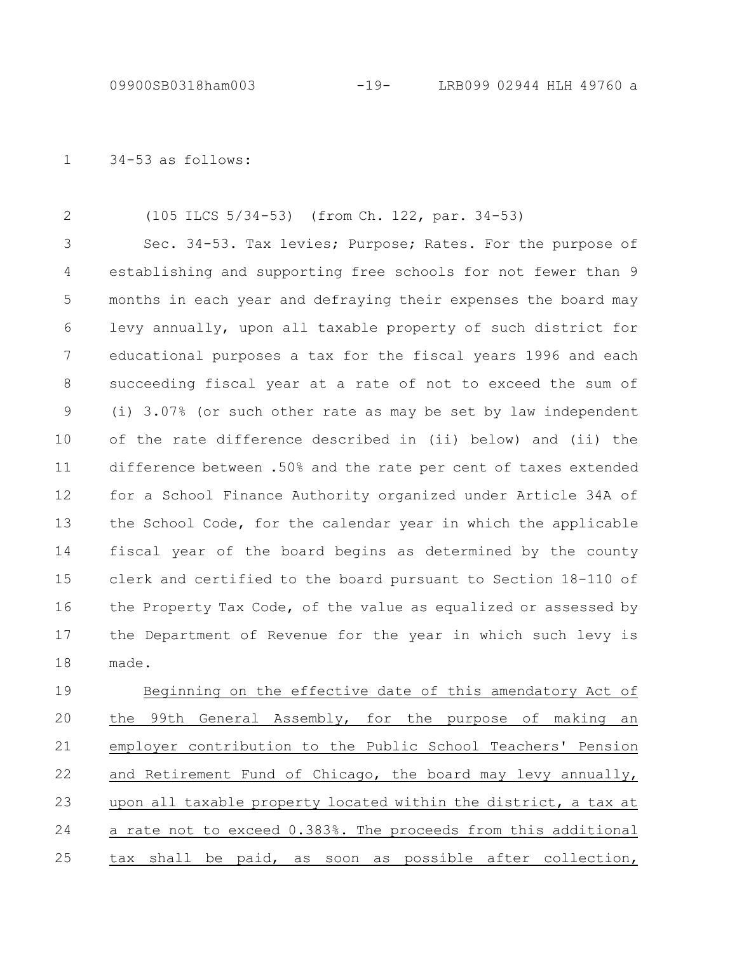34-53 as follows: 1

(105 ILCS 5/34-53) (from Ch. 122, par. 34-53) 2

Sec. 34-53. Tax levies; Purpose; Rates. For the purpose of establishing and supporting free schools for not fewer than 9 months in each year and defraying their expenses the board may levy annually, upon all taxable property of such district for educational purposes a tax for the fiscal years 1996 and each succeeding fiscal year at a rate of not to exceed the sum of (i) 3.07% (or such other rate as may be set by law independent of the rate difference described in (ii) below) and (ii) the difference between .50% and the rate per cent of taxes extended for a School Finance Authority organized under Article 34A of the School Code, for the calendar year in which the applicable fiscal year of the board begins as determined by the county clerk and certified to the board pursuant to Section 18-110 of the Property Tax Code, of the value as equalized or assessed by the Department of Revenue for the year in which such levy is made. 3 4 5 6 7 8 9 10 11 12 13 14 15 16 17 18

Beginning on the effective date of this amendatory Act of the 99th General Assembly, for the purpose of making an employer contribution to the Public School Teachers' Pension and Retirement Fund of Chicago, the board may levy annually, upon all taxable property located within the district, a tax at a rate not to exceed 0.383%. The proceeds from this additional tax shall be paid, as soon as possible after collection, 19 20 21 22 23 24 25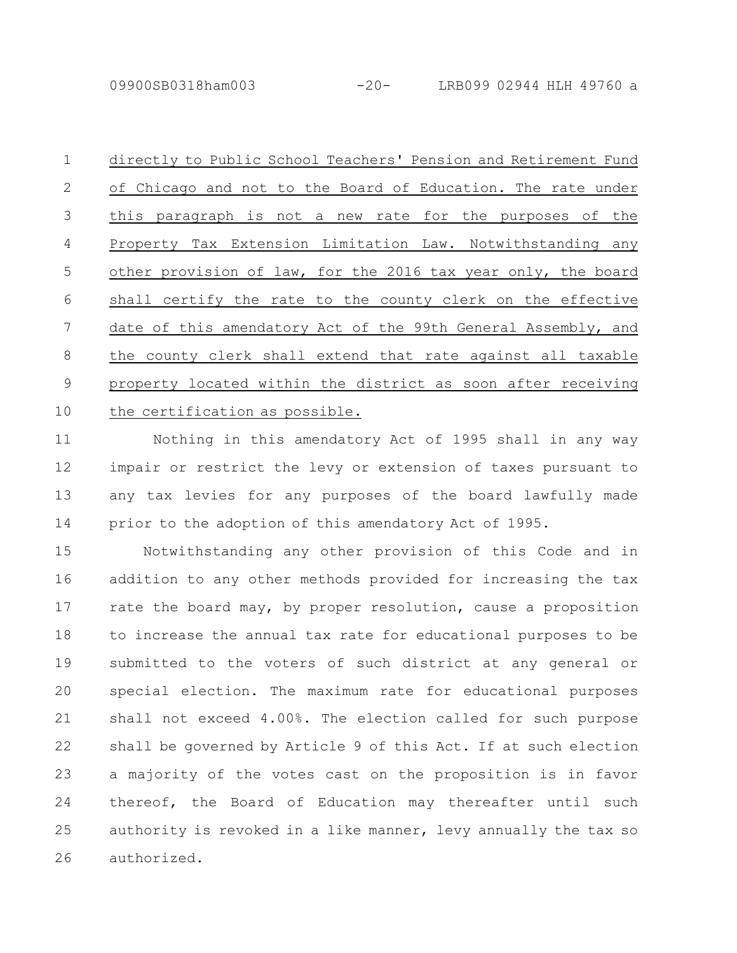09900SB0318ham003 -20- LRB099 02944 HLH 49760 a

directly to Public School Teachers' Pension and Retirement Fund of Chicago and not to the Board of Education. The rate under this paragraph is not a new rate for the purposes of the Property Tax Extension Limitation Law. Notwithstanding any other provision of law, for the 2016 tax year only, the board shall certify the rate to the county clerk on the effective date of this amendatory Act of the 99th General Assembly, and the county clerk shall extend that rate against all taxable property located within the district as soon after receiving the certification as possible. 1 2 3 4 5 6 7 8 9 10

Nothing in this amendatory Act of 1995 shall in any way impair or restrict the levy or extension of taxes pursuant to any tax levies for any purposes of the board lawfully made prior to the adoption of this amendatory Act of 1995. 11 12 13 14

Notwithstanding any other provision of this Code and in addition to any other methods provided for increasing the tax rate the board may, by proper resolution, cause a proposition to increase the annual tax rate for educational purposes to be submitted to the voters of such district at any general or special election. The maximum rate for educational purposes shall not exceed 4.00%. The election called for such purpose shall be governed by Article 9 of this Act. If at such election a majority of the votes cast on the proposition is in favor thereof, the Board of Education may thereafter until such authority is revoked in a like manner, levy annually the tax so authorized. 15 16 17 18 19 20 21 22 23 24 25 26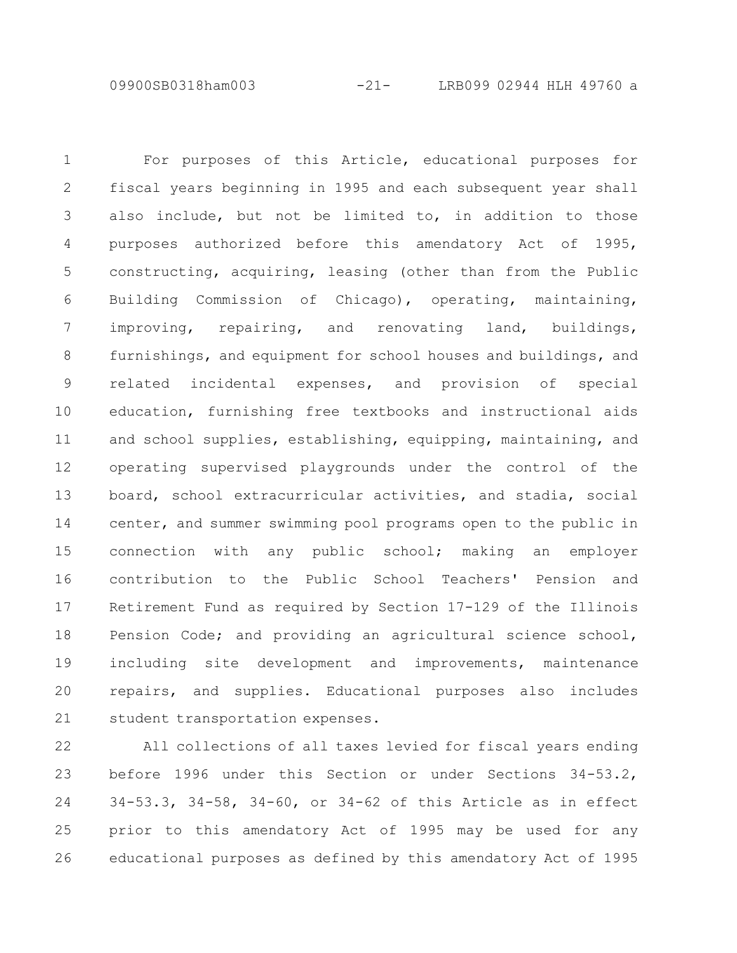09900SB0318ham003 -21- LRB099 02944 HLH 49760 a

For purposes of this Article, educational purposes for fiscal years beginning in 1995 and each subsequent year shall also include, but not be limited to, in addition to those purposes authorized before this amendatory Act of 1995, constructing, acquiring, leasing (other than from the Public Building Commission of Chicago), operating, maintaining, improving, repairing, and renovating land, buildings, furnishings, and equipment for school houses and buildings, and related incidental expenses, and provision of special education, furnishing free textbooks and instructional aids and school supplies, establishing, equipping, maintaining, and operating supervised playgrounds under the control of the board, school extracurricular activities, and stadia, social center, and summer swimming pool programs open to the public in connection with any public school; making an employer contribution to the Public School Teachers' Pension and Retirement Fund as required by Section 17-129 of the Illinois Pension Code; and providing an agricultural science school, including site development and improvements, maintenance repairs, and supplies. Educational purposes also includes student transportation expenses. 1 2 3 4 5 6 7 8 9 10 11 12 13 14 15 16 17 18 19 20 21

All collections of all taxes levied for fiscal years ending before 1996 under this Section or under Sections 34-53.2, 34-53.3, 34-58, 34-60, or 34-62 of this Article as in effect prior to this amendatory Act of 1995 may be used for any educational purposes as defined by this amendatory Act of 1995 22 23 24 25 26